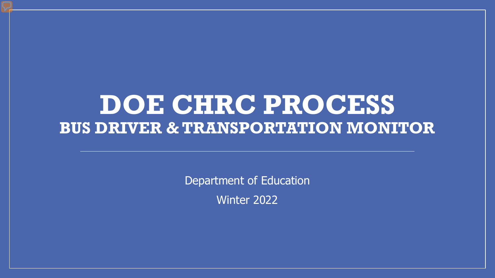### **DOE CHRC PROCESS BUS DRIVER & TRANSPORTATION MONITOR**

Department of Education Winter 2022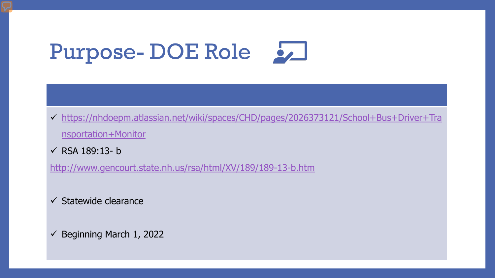# Purpose- DOE Role

- [https://nhdoepm.atlassian.net/wiki/spaces/CHD/pages/2026373121/School+Bus+Driver+Tra](https://nhdoepm.atlassian.net/wiki/spaces/CHD/pages/2026373121/School+Bus+Driver+Transportation+Monitor) nsportation+Monitor
- $\checkmark$  RSA 189:13-b

<http://www.gencourt.state.nh.us/rsa/html/XV/189/189-13-b.htm>

 $\checkmark$  Statewide clearance

 $\checkmark$  Beginning March 1, 2022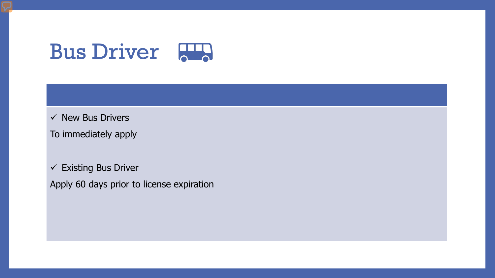### **Bus Driver** 2

 $\checkmark$  New Bus Drivers

To immediately apply

 $\checkmark$  Existing Bus Driver

Apply 60 days prior to license expiration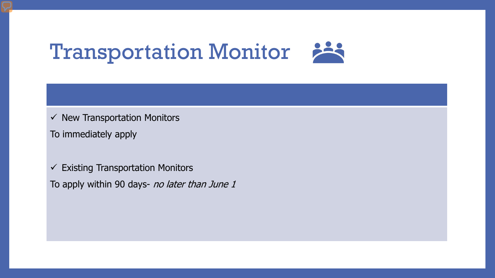### **Transportation Monitor**

- $\checkmark$  New Transportation Monitors
- To immediately apply
- $\checkmark$  Existing Transportation Monitors
- To apply within 90 days- no later than June 1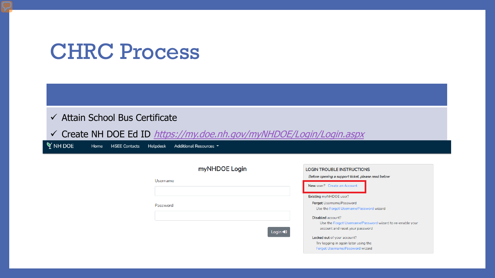### CHRC Process

#### $\checkmark$  Attain School Bus Certificate

Create NH DOE Ed ID <https://my.doe.nh.gov/myNHDOE/Login/Login.aspx>

 $\gamma$  NH DOE Home **I4SEE Contacts** Helpdesk Additional Resources ▼

| myNHDOE Login | <b>LOGIN TROUBLE INSTRUCTIONS</b>                       |
|---------------|---------------------------------------------------------|
| Username      | Before opening a support ticket, please read below      |
|               | New user? Create an Account                             |
|               | Existing myNHDOE user?                                  |
| Password      | <b>Forgot Username/Password</b>                         |
|               | Use the Forgot Username/Password wizard                 |
|               | Disabled account?                                       |
|               | Use the Forgot Username/Password wizard to re-enable yo |
| Login +1      | account and reset your password                         |
|               | Locked out of your account?                             |
|               | Try logging in again later using the                    |
|               | Forgot Username/Password wizard                         |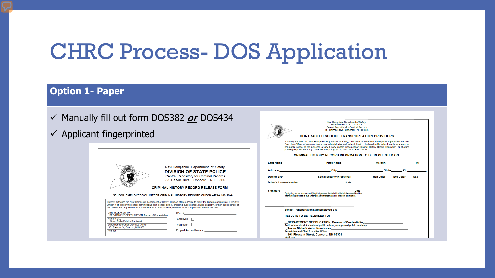### CHRC Process- DOS Application

#### **Option 1- Paper**

- $\checkmark$  Manually fill out form DOS382 *or* DOS434
- $\checkmark$  Applicant finger

| ingerprinted                                                                                                                                                                                                                                                                                                                                                                                                                                                                                                                                                                                                                                                                                                                                                                                        | 33 Hazen Drive, Concord, NH 03305<br><b>CONTRACTED SCHOOL TRANSPORTATION PROVIDERS</b><br>I hereby authorize the New Hampshire Department of Safety, Division of State Police to notify the Superintendent/Chief<br>Executive Officer of an employing school administrative unit, school district, chartered public school, public academy, or                                                                                                                                                                                                                                                                                                                                                                                            |
|-----------------------------------------------------------------------------------------------------------------------------------------------------------------------------------------------------------------------------------------------------------------------------------------------------------------------------------------------------------------------------------------------------------------------------------------------------------------------------------------------------------------------------------------------------------------------------------------------------------------------------------------------------------------------------------------------------------------------------------------------------------------------------------------------------|-------------------------------------------------------------------------------------------------------------------------------------------------------------------------------------------------------------------------------------------------------------------------------------------------------------------------------------------------------------------------------------------------------------------------------------------------------------------------------------------------------------------------------------------------------------------------------------------------------------------------------------------------------------------------------------------------------------------------------------------|
| New Hampshire Department of Safety<br><b>DIVISION OF STATE POLICE</b><br>Central Repository for Criminal Records<br>33 Hazen Drive, Concord, NH 03305<br><b>CRIMINAL HISTORY RECORD RELEASE FORM</b><br>SCHOOL EMPLOYEE/VOLUNTEER CRIMINAL HISTORY RECORD CHECK - RSA 189:13-A<br>I hereby authorize the New Hampshire Department of Safety, Division of State Police to notify the Superintendent/Chief Executive<br>Officer of an emploving school administrative unit, school district, chartered public school, public academy, or non-public school of<br>the presence of any Felony and/or Misdemeanor Criminal History Record Conviction pursuant to RSA 189:13-a.<br><b>CHRI RELEASED TO:</b><br>SAU#<br>DEPARTMENT OF EDUCATION. Bureau of Credentialing<br>Name of SAU<br>$Employee \Box$ | non-public school of the presence of any Felony and/or Misdemeanor Criminal History Record Conviction, or charges<br>pending disposition for any crimes listed in paragraph V, pursuant to RSA 189:13-a.<br><b>CRIMINAL HISTORY RECORD INFORMATION TO BE REQUESTED ON:</b><br>MI<br>Zip<br>Driver's License Number <b>Communication</b><br><b>State State</b><br><b>Date</b><br><b>Signature</b><br>By signing above you are certifying that you are the individual listed above and that the<br>Information provided is true under penalty of forgery and/or unswom falsification<br>School Transportation Staff Employed By: School Transportation of the School Transportation Staff Employed By:<br><b>RESULTS TO BE RELEASED TO:</b> |
| Susan Blake/Katelyn Komisarek<br>Superintendent/Chief Executive Officer<br>Volunteer<br>$\Box$<br>101 Pleasant St, Concord, NH 03301<br><b>Prepaid Account Number</b><br><b>Address</b>                                                                                                                                                                                                                                                                                                                                                                                                                                                                                                                                                                                                             | DEPARTMENT OF EDUCATION, Bureau of Credentialing<br>SAU, school district, chartered public school, or approved public academy<br>Susan Blake/Katelyn Komisarek<br>Superintendent/Chief Executive Officer<br>101 Pleasant Street, Concord, NH 03301<br><b>Address</b>                                                                                                                                                                                                                                                                                                                                                                                                                                                                      |

CAR

New Hampshire Department of Safety DIVISION OF STATE POLICE

Central Repository for Criminal Records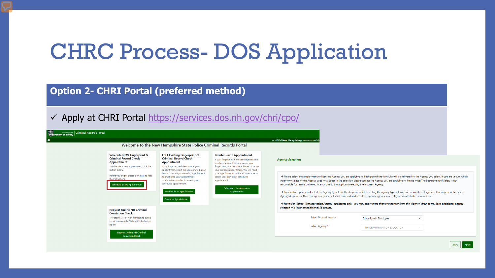### CHRC Process- DOS Application

**Option 2- CHRI Portal (preferred method)**

#### Apply at CHRI Portal <https://services.dos.nh.gov/chri/cpo/>

| New Hampshire Criminal Records Portal                                                                                                                                                                                                                                                                                                                                              |                                                                                             |                                                                                              |                                                                                                                                                                                                                                   |                                                                                                                                                                                                                                                                                                                                                                                                                                                                                                                                                                                                                                                                                                                                                                                                                                                                                                               |
|------------------------------------------------------------------------------------------------------------------------------------------------------------------------------------------------------------------------------------------------------------------------------------------------------------------------------------------------------------------------------------|---------------------------------------------------------------------------------------------|----------------------------------------------------------------------------------------------|-----------------------------------------------------------------------------------------------------------------------------------------------------------------------------------------------------------------------------------|---------------------------------------------------------------------------------------------------------------------------------------------------------------------------------------------------------------------------------------------------------------------------------------------------------------------------------------------------------------------------------------------------------------------------------------------------------------------------------------------------------------------------------------------------------------------------------------------------------------------------------------------------------------------------------------------------------------------------------------------------------------------------------------------------------------------------------------------------------------------------------------------------------------|
| ◈                                                                                                                                                                                                                                                                                                                                                                                  |                                                                                             |                                                                                              |                                                                                                                                                                                                                                   | an official New Hampshire government websi                                                                                                                                                                                                                                                                                                                                                                                                                                                                                                                                                                                                                                                                                                                                                                                                                                                                    |
|                                                                                                                                                                                                                                                                                                                                                                                    |                                                                                             | Welcome to the New Hampshire State Police Criminal Records Portal                            |                                                                                                                                                                                                                                   |                                                                                                                                                                                                                                                                                                                                                                                                                                                                                                                                                                                                                                                                                                                                                                                                                                                                                                               |
|                                                                                                                                                                                                                                                                                                                                                                                    | <b>Schedule NEW Fingerprint &amp;</b><br><b>Criminal Record Check</b><br><b>Appointment</b> | <b>EDIT Existing Fingerprint &amp;</b><br><b>Criminal Record Check</b><br><b>Appointment</b> | <b>Resubmission Appointment</b><br>If your fingerprints have been rejected and<br>you have been asked to resubmit your                                                                                                            | <b>Agency Selection</b>                                                                                                                                                                                                                                                                                                                                                                                                                                                                                                                                                                                                                                                                                                                                                                                                                                                                                       |
|                                                                                                                                                                                                                                                                                                                                                                                    | To schedule a new appointment, click the<br>button below.                                   | To look up, reschedule or cancel your<br>appointment, select the appropriate button          | fingerprints, use the button below to locate<br>your previous appointment. You will need<br>your appointment confirmation number to<br>access your previously scheduled<br>appointment.<br>Schedule a Resubmission<br>Appointment |                                                                                                                                                                                                                                                                                                                                                                                                                                                                                                                                                                                                                                                                                                                                                                                                                                                                                                               |
| below to locate your existing appointment.<br>Before you begin, please click here to read<br>You will need your appointment<br>the instructions.<br>confirmation number to access your<br>scheduled appointment.<br>Schedule a New Appointment<br><b>Reschedule an Appointment</b><br><b>Cancel an Appointment</b><br><b>Request Online NH Criminal</b><br><b>Conviction Check</b> |                                                                                             |                                                                                              |                                                                                                                                                                                                                                   | → Please select the employment or licensing Agency you are applying to. Background check results will be delivered to the Agency you select. If you are unsure which<br>Agency to select, or the Agency does not appear in the selection please contact the Agency you are applying to. Please note: The Department of Safety is not<br>responsible for results delivered in error due to the applicant selecting the incorrect Agency.<br>> To select an agency first select the Agency Type from the drop down list. Selecting the agency type will narrow the number of agencies that appear in the Select<br>Agency drop down. Once the agency type is selected then find and select the specific agency you wish your results to be delivered to.<br>→ Note: For 'School Transportation Agency' applicants only -you may select more than one agency from the 'Agency' drop down. Each additional agency |
|                                                                                                                                                                                                                                                                                                                                                                                    | selected will incur an additional \$5 charge.                                               |                                                                                              |                                                                                                                                                                                                                                   |                                                                                                                                                                                                                                                                                                                                                                                                                                                                                                                                                                                                                                                                                                                                                                                                                                                                                                               |
|                                                                                                                                                                                                                                                                                                                                                                                    | To obtain State of New Hampshire public<br>conviction records ONLY, click the button        |                                                                                              |                                                                                                                                                                                                                                   | Select Type Of Agency *<br>Educational - Employee<br>$\checkmark$                                                                                                                                                                                                                                                                                                                                                                                                                                                                                                                                                                                                                                                                                                                                                                                                                                             |
|                                                                                                                                                                                                                                                                                                                                                                                    | below.                                                                                      |                                                                                              |                                                                                                                                                                                                                                   | Select Agency *<br>NH DEPARTMENT OF EDUCATION                                                                                                                                                                                                                                                                                                                                                                                                                                                                                                                                                                                                                                                                                                                                                                                                                                                                 |
|                                                                                                                                                                                                                                                                                                                                                                                    | <b>Request Online NH Criminal</b><br><b>Conviction Check</b>                                |                                                                                              |                                                                                                                                                                                                                                   |                                                                                                                                                                                                                                                                                                                                                                                                                                                                                                                                                                                                                                                                                                                                                                                                                                                                                                               |

Back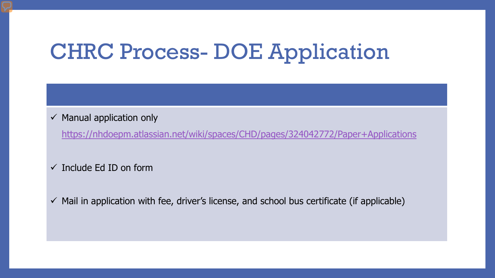# CHRC Process- DOE Application

#### $\checkmark$  Manual application only

<https://nhdoepm.atlassian.net/wiki/spaces/CHD/pages/324042772/Paper+Applications>

#### $\checkmark$  Include Ed ID on form

 $\checkmark$  Mail in application with fee, driver's license, and school bus certificate (if applicable)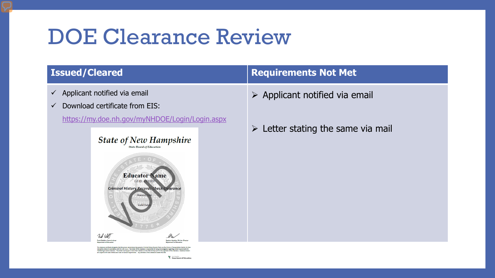### DOE Clearance Review

- $\checkmark$  Applicant notified via email
- $\checkmark$  Download certificate from EIS:
	- <https://my.doe.nh.gov/myNHDOE/Login/Login.aspx>

#### **State of New Hampshire State Board of Education**



### **Issued/Cleared Requirements Not Met**

- $\triangleright$  Applicant notified via email
- $\triangleright$  Letter stating the same via mail

exygence with this present member and years as unit an exportable for being knowledgeable regarding unrest neu<br>relance with RIA 189:13-a,b. The holder of this clearance is responsible for being knowledgeable regarding curr

*Y* Beatterpoine<br> **Y** Department of Education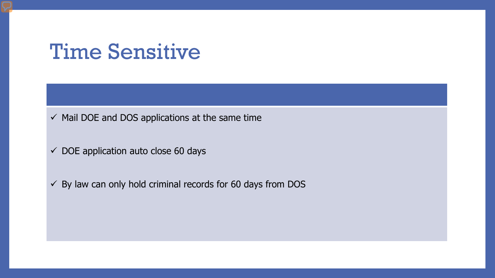### Time Sensitive

 $\checkmark$  Mail DOE and DOS applications at the same time

 $\checkmark$  DOE application auto close 60 days

 $\checkmark$  By law can only hold criminal records for 60 days from DOS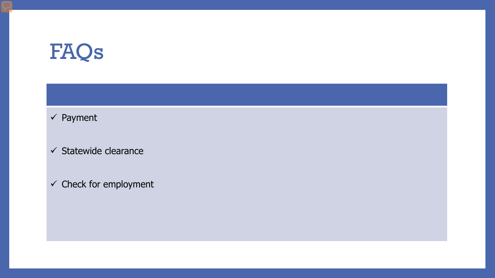# FAQs

### $\checkmark$  Payment

 $\checkmark$  Statewide clearance

 $\checkmark$  Check for employment